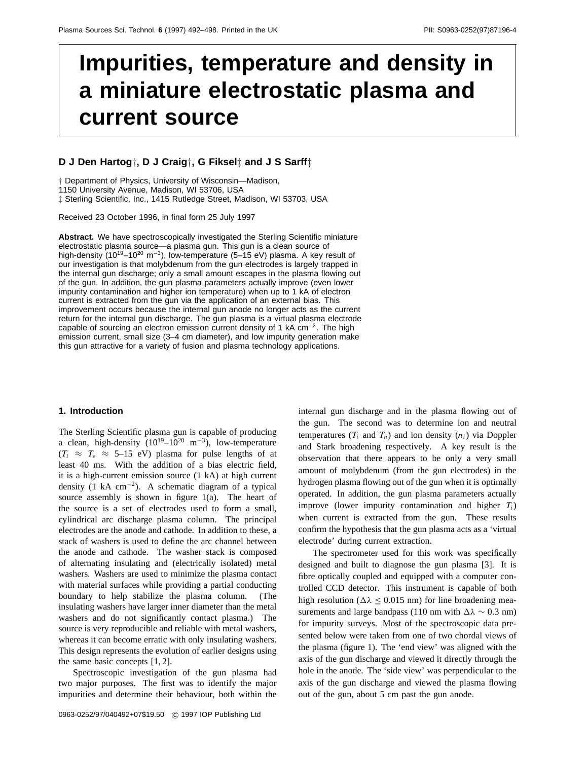# **Impurities, temperature and density in a miniature electrostatic plasma and current source**

## **D J Den Hartog***†***, D J Craig***†***, G Fiksel***‡* **and J S Sarff***‡*

*†* Department of Physics, University of Wisconsin—Madison,

1150 University Avenue, Madison, WI 53706, USA

*‡* Sterling Scientific, Inc., 1415 Rutledge Street, Madison, WI 53703, USA

Received 23 October 1996, in final form 25 July 1997

**Abstract.** We have spectroscopically investigated the Sterling Scientific miniature electrostatic plasma source—a plasma gun. This gun is a clean source of high-density (10<sup>19</sup>–10<sup>20</sup> m<sup>-3</sup>), low-temperature (5–15 eV) plasma. A key result of our investigation is that molybdenum from the gun electrodes is largely trapped in the internal gun discharge; only a small amount escapes in the plasma flowing out of the gun. In addition, the gun plasma parameters actually improve (even lower impurity contamination and higher ion temperature) when up to 1 kA of electron current is extracted from the gun via the application of an external bias. This improvement occurs because the internal gun anode no longer acts as the current return for the internal gun discharge. The gun plasma is a virtual plasma electrode capable of sourcing an electron emission current density of 1 kA cm−2. The high emission current, small size (3–4 cm diameter), and low impurity generation make this gun attractive for a variety of fusion and plasma technology applications.

# **1. Introduction**

The Sterling Scientific plasma gun is capable of producing a clean, high-density  $(10^{19}-10^{20} \text{ m}^{-3})$ , low-temperature  $(T_i \approx T_e \approx 5{\text -}15 \text{ eV})$  plasma for pulse lengths of at least 40 ms. With the addition of a bias electric field, it is a high-current emission source (1 kA) at high current density (1 kA  $cm^{-2}$ ). A schematic diagram of a typical source assembly is shown in figure 1(a). The heart of the source is a set of electrodes used to form a small, cylindrical arc discharge plasma column. The principal electrodes are the anode and cathode. In addition to these, a stack of washers is used to define the arc channel between the anode and cathode. The washer stack is composed of alternating insulating and (electrically isolated) metal washers. Washers are used to minimize the plasma contact with material surfaces while providing a partial conducting boundary to help stabilize the plasma column. (The insulating washers have larger inner diameter than the metal washers and do not significantly contact plasma.) The source is very reproducible and reliable with metal washers, whereas it can become erratic with only insulating washers. This design represents the evolution of earlier designs using the same basic concepts [1, 2].

Spectroscopic investigation of the gun plasma had two major purposes. The first was to identify the major impurities and determine their behaviour, both within the internal gun discharge and in the plasma flowing out of the gun. The second was to determine ion and neutral temperatures  $(T_i$  and  $T_n$ ) and ion density  $(n_i)$  via Doppler and Stark broadening respectively. A key result is the observation that there appears to be only a very small amount of molybdenum (from the gun electrodes) in the hydrogen plasma flowing out of the gun when it is optimally operated. In addition, the gun plasma parameters actually improve (lower impurity contamination and higher *Ti*) when current is extracted from the gun. These results confirm the hypothesis that the gun plasma acts as a 'virtual electrode' during current extraction.

The spectrometer used for this work was specifically designed and built to diagnose the gun plasma [3]. It is fibre optically coupled and equipped with a computer controlled CCD detector. This instrument is capable of both high resolution ( $\Delta\lambda$  < 0.015 nm) for line broadening measurements and large bandpass (110 nm with  $\Delta\lambda \sim 0.3$  nm) for impurity surveys. Most of the spectroscopic data presented below were taken from one of two chordal views of the plasma (figure 1). The 'end view' was aligned with the axis of the gun discharge and viewed it directly through the hole in the anode. The 'side view' was perpendicular to the axis of the gun discharge and viewed the plasma flowing out of the gun, about 5 cm past the gun anode.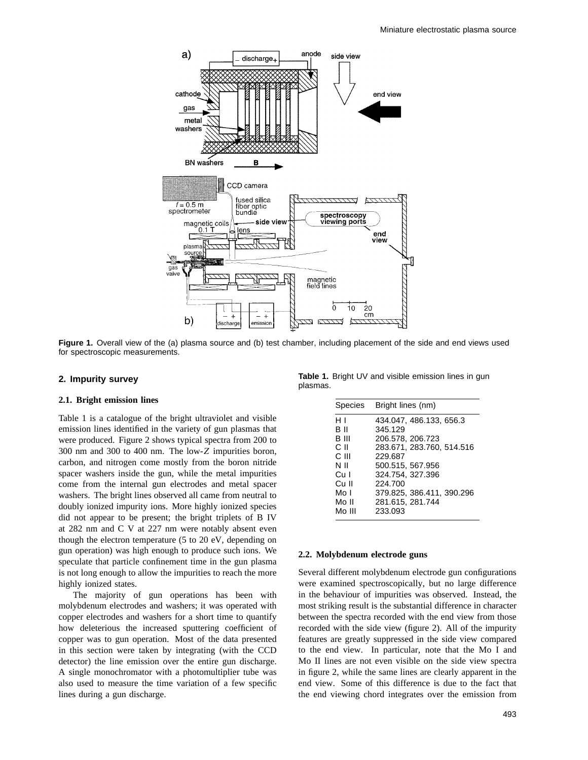

**Figure 1.** Overall view of the (a) plasma source and (b) test chamber, including placement of the side and end views used for spectroscopic measurements.

## **2. Impurity survey**

## **2.1. Bright emission lines**

Table 1 is a catalogue of the bright ultraviolet and visible emission lines identified in the variety of gun plasmas that were produced. Figure 2 shows typical spectra from 200 to 300 nm and 300 to 400 nm. The low-*Z* impurities boron, carbon, and nitrogen come mostly from the boron nitride spacer washers inside the gun, while the metal impurities come from the internal gun electrodes and metal spacer washers. The bright lines observed all came from neutral to doubly ionized impurity ions. More highly ionized species did not appear to be present; the bright triplets of B IV at 282 nm and C V at 227 nm were notably absent even though the electron temperature (5 to 20 eV, depending on gun operation) was high enough to produce such ions. We speculate that particle confinement time in the gun plasma is not long enough to allow the impurities to reach the more highly ionized states.

The majority of gun operations has been with molybdenum electrodes and washers; it was operated with copper electrodes and washers for a short time to quantify how deleterious the increased sputtering coefficient of copper was to gun operation. Most of the data presented in this section were taken by integrating (with the CCD detector) the line emission over the entire gun discharge. A single monochromator with a photomultiplier tube was also used to measure the time variation of a few specific lines during a gun discharge.

**Table 1.** Bright UV and visible emission lines in gun plasmas.

| Bright lines (nm)         |
|---------------------------|
| 434.047, 486.133, 656.3   |
| 345.129                   |
| 206.578, 206.723          |
| 283.671, 283.760, 514.516 |
| 229.687                   |
| 500.515, 567.956          |
| 324.754, 327.396          |
| 224,700                   |
| 379.825, 386.411, 390.296 |
| 281.615, 281.744          |
| 233.093                   |
|                           |

## **2.2. Molybdenum electrode guns**

Several different molybdenum electrode gun configurations were examined spectroscopically, but no large difference in the behaviour of impurities was observed. Instead, the most striking result is the substantial difference in character between the spectra recorded with the end view from those recorded with the side view (figure 2). All of the impurity features are greatly suppressed in the side view compared to the end view. In particular, note that the Mo I and Mo II lines are not even visible on the side view spectra in figure 2, while the same lines are clearly apparent in the end view. Some of this difference is due to the fact that the end viewing chord integrates over the emission from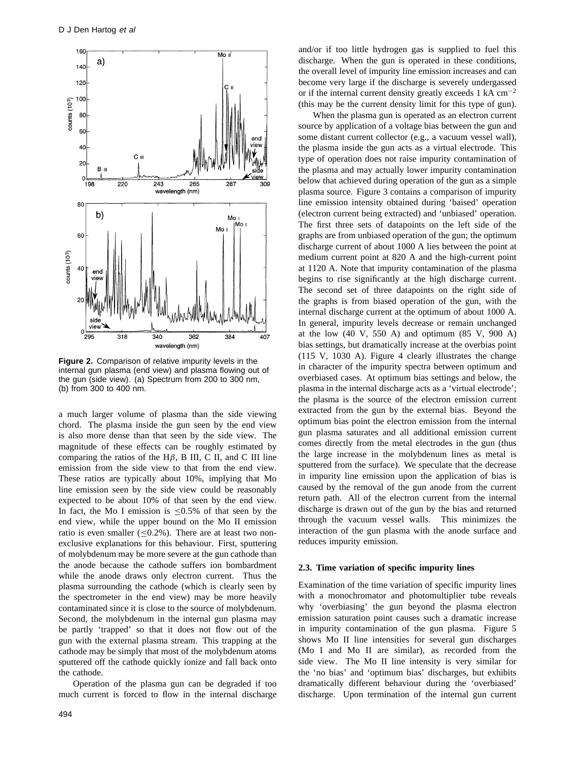

**Figure 2.** Comparison of relative impurity levels in the internal gun plasma (end view) and plasma flowing out of the gun (side view). (a) Spectrum from 200 to 300 nm, (b) from 300 to 400 nm.

a much larger volume of plasma than the side viewing chord. The plasma inside the gun seen by the end view is also more dense than that seen by the side view. The magnitude of these effects can be roughly estimated by comparing the ratios of the H*β*, B III, C II, and C III line emission from the side view to that from the end view. These ratios are typically about 10%, implying that Mo line emission seen by the side view could be reasonably expected to be about 10% of that seen by the end view. In fact, the Mo I emission is  $\leq 0.5\%$  of that seen by the end view, while the upper bound on the Mo II emission ratio is even smaller  $(\leq 0.2\%)$ . There are at least two nonexclusive explanations for this behaviour. First, sputtering of molybdenum may be more severe at the gun cathode than the anode because the cathode suffers ion bombardment while the anode draws only electron current. Thus the plasma surrounding the cathode (which is clearly seen by the spectrometer in the end view) may be more heavily contaminated since it is close to the source of molybdenum. Second, the molybdenum in the internal gun plasma may be partly 'trapped' so that it does not flow out of the gun with the external plasma stream. This trapping at the cathode may be simply that most of the molybdenum atoms sputtered off the cathode quickly ionize and fall back onto the cathode.

Operation of the plasma gun can be degraded if too much current is forced to flow in the internal discharge

and/or if too little hydrogen gas is supplied to fuel this discharge. When the gun is operated in these conditions, the overall level of impurity line emission increases and can become very large if the discharge is severely undergassed or if the internal current density greatly exceeds 1 kA  $cm^{-2}$ (this may be the current density limit for this type of gun).

When the plasma gun is operated as an electron current source by application of a voltage bias between the gun and some distant current collector (e.g., a vacuum vessel wall), the plasma inside the gun acts as a virtual electrode. This type of operation does not raise impurity contamination of the plasma and may actually lower impurity contamination below that achieved during operation of the gun as a simple plasma source. Figure 3 contains a comparison of impurity line emission intensity obtained during 'baised' operation (electron current being extracted) and 'unbiased' operation. The first three sets of datapoints on the left side of the graphs are from unbiased operation of the gun; the optimum discharge current of about 1000 A lies between the point at medium current point at 820 A and the high-current point at 1120 A. Note that impurity contamination of the plasma begins to rise significantly at the high discharge current. The second set of three datapoints on the right side of the graphs is from biased operation of the gun, with the internal discharge current at the optimum of about 1000 A. In general, impurity levels decrease or remain unchanged at the low  $(40 \text{ V}, 550 \text{ A})$  and optimum  $(85 \text{ V}, 900 \text{ A})$ bias settings, but dramatically increase at the overbias point (115 V, 1030 A). Figure 4 clearly illustrates the change in character of the impurity spectra between optimum and overbiased cases. At optimum bias settings and below, the plasma in the internal discharge acts as a 'virtual electrode'; the plasma is the source of the electron emission current extracted from the gun by the external bias. Beyond the optimum bias point the electron emission from the internal gun plasma saturates and all additional emission current comes directly from the metal electrodes in the gun (thus the large increase in the molybdenum lines as metal is sputtered from the surface). We speculate that the decrease in impurity line emission upon the application of bias is caused by the removal of the gun anode from the current return path. All of the electron current from the internal discharge is drawn out of the gun by the bias and returned through the vacuum vessel walls. This minimizes the interaction of the gun plasma with the anode surface and reduces impurity emission.

#### **2.3. Time variation of specific impurity lines**

Examination of the time variation of specific impurity lines with a monochromator and photomultiplier tube reveals why 'overbiasing' the gun beyond the plasma electron emission saturation point causes such a dramatic increase in impurity contamination of the gun plasma. Figure 5 shows Mo II line intensities for several gun discharges (Mo I and Mo II are similar), as recorded from the side view. The Mo II line intensity is very similar for the 'no bias' and 'optimum bias' discharges, but exhibits dramatically different behaviour during the 'overbiased' discharge. Upon termination of the internal gun current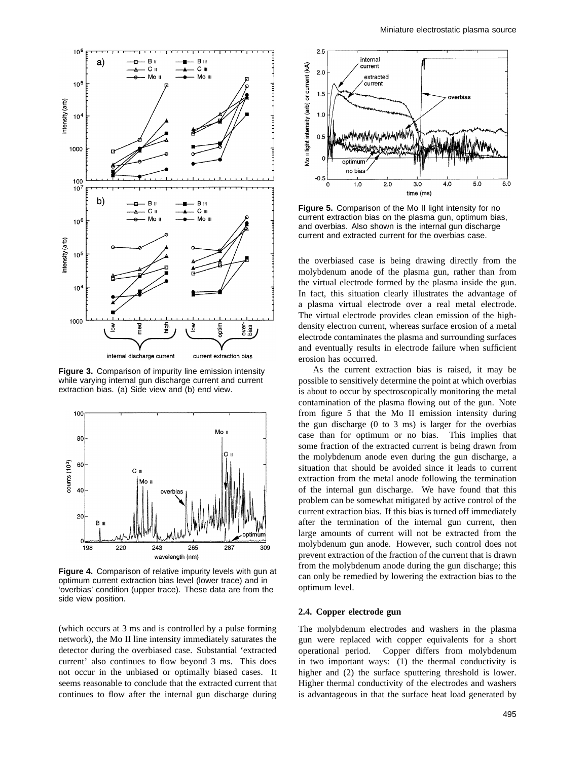

**Figure 3.** Comparison of impurity line emission intensity while varying internal gun discharge current and current extraction bias. (a) Side view and (b) end view.



**Figure 4.** Comparison of relative impurity levels with gun at optimum current extraction bias level (lower trace) and in 'overbias' condition (upper trace). These data are from the side view position.

(which occurs at 3 ms and is controlled by a pulse forming network), the Mo II line intensity immediately saturates the detector during the overbiased case. Substantial 'extracted current' also continues to flow beyond 3 ms. This does not occur in the unbiased or optimally biased cases. It seems reasonable to conclude that the extracted current that continues to flow after the internal gun discharge during



**Figure 5.** Comparison of the Mo II light intensity for no current extraction bias on the plasma gun, optimum bias, and overbias. Also shown is the internal gun discharge current and extracted current for the overbias case.

the overbiased case is being drawing directly from the molybdenum anode of the plasma gun, rather than from the virtual electrode formed by the plasma inside the gun. In fact, this situation clearly illustrates the advantage of a plasma virtual electrode over a real metal electrode. The virtual electrode provides clean emission of the highdensity electron current, whereas surface erosion of a metal electrode contaminates the plasma and surrounding surfaces and eventually results in electrode failure when sufficient erosion has occurred.

As the current extraction bias is raised, it may be possible to sensitively determine the point at which overbias is about to occur by spectroscopically monitoring the metal contamination of the plasma flowing out of the gun. Note from figure 5 that the Mo II emission intensity during the gun discharge (0 to 3 ms) is larger for the overbias case than for optimum or no bias. This implies that some fraction of the extracted current is being drawn from the molybdenum anode even during the gun discharge, a situation that should be avoided since it leads to current extraction from the metal anode following the termination of the internal gun discharge. We have found that this problem can be somewhat mitigated by active control of the current extraction bias. If this bias is turned off immediately after the termination of the internal gun current, then large amounts of current will not be extracted from the molybdenum gun anode. However, such control does not prevent extraction of the fraction of the current that is drawn from the molybdenum anode during the gun discharge; this can only be remedied by lowering the extraction bias to the optimum level.

## **2.4. Copper electrode gun**

The molybdenum electrodes and washers in the plasma gun were replaced with copper equivalents for a short operational period. Copper differs from molybdenum in two important ways: (1) the thermal conductivity is higher and (2) the surface sputtering threshold is lower. Higher thermal conductivity of the electrodes and washers is advantageous in that the surface heat load generated by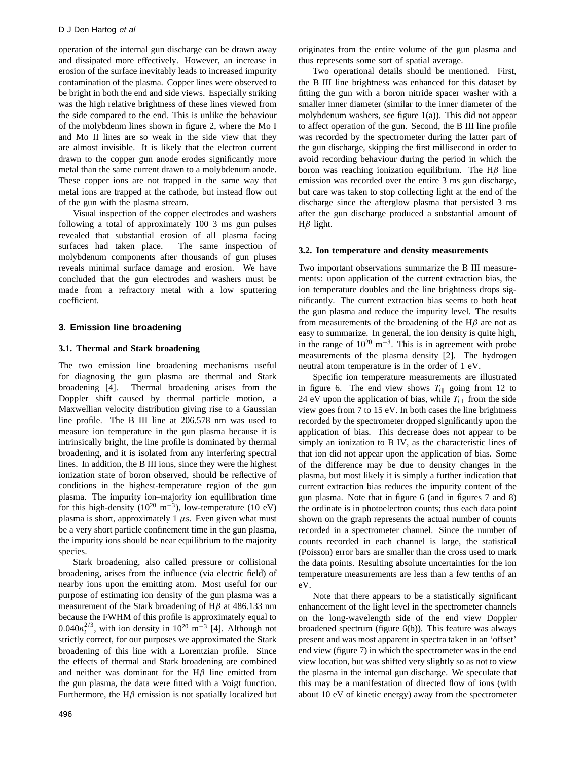operation of the internal gun discharge can be drawn away and dissipated more effectively. However, an increase in erosion of the surface inevitably leads to increased impurity contamination of the plasma. Copper lines were observed to be bright in both the end and side views. Especially striking was the high relative brightness of these lines viewed from the side compared to the end. This is unlike the behaviour of the molybdenm lines shown in figure 2, where the Mo I and Mo II lines are so weak in the side view that they are almost invisible. It is likely that the electron current drawn to the copper gun anode erodes significantly more metal than the same current drawn to a molybdenum anode. These copper ions are not trapped in the same way that metal ions are trapped at the cathode, but instead flow out of the gun with the plasma stream.

Visual inspection of the copper electrodes and washers following a total of approximately 100 3 ms gun pulses revealed that substantial erosion of all plasma facing surfaces had taken place. The same inspection of molybdenum components after thousands of gun pluses reveals minimal surface damage and erosion. We have concluded that the gun electrodes and washers must be made from a refractory metal with a low sputtering coefficient.

# **3. Emission line broadening**

# **3.1. Thermal and Stark broadening**

The two emission line broadening mechanisms useful for diagnosing the gun plasma are thermal and Stark broadening [4]. Thermal broadening arises from the Doppler shift caused by thermal particle motion, a Maxwellian velocity distribution giving rise to a Gaussian line profile. The B III line at 206.578 nm was used to measure ion temperature in the gun plasma because it is intrinsically bright, the line profile is dominated by thermal broadening, and it is isolated from any interfering spectral lines. In addition, the B III ions, since they were the highest ionization state of boron observed, should be reflective of conditions in the highest-temperature region of the gun plasma. The impurity ion–majority ion equilibration time for this high-density  $(10^{20} \text{ m}^{-3})$ , low-temperature  $(10 \text{ eV})$ plasma is short, approximately 1  $\mu$ s. Even given what must be a very short particle confinement time in the gun plasma, the impurity ions should be near equilibrium to the majority species.

Stark broadening, also called pressure or collisional broadening, arises from the influence (via electric field) of nearby ions upon the emitting atom. Most useful for our purpose of estimating ion density of the gun plasma was a measurement of the Stark broadening of H*β* at 486.133 nm because the FWHM of this profile is approximately equal to  $0.040n_i^{2/3}$ , with ion density in  $10^{20}$  m<sup>-3</sup> [4]. Although not strictly correct, for our purposes we approximated the Stark broadening of this line with a Lorentzian profile. Since the effects of thermal and Stark broadening are combined and neither was dominant for the H*β* line emitted from the gun plasma, the data were fitted with a Voigt function. Furthermore, the H*β* emission is not spatially localized but

496

originates from the entire volume of the gun plasma and thus represents some sort of spatial average.

Two operational details should be mentioned. First, the B III line brightness was enhanced for this dataset by fitting the gun with a boron nitride spacer washer with a smaller inner diameter (similar to the inner diameter of the molybdenum washers, see figure 1(a)). This did not appear to affect operation of the gun. Second, the B III line profile was recorded by the spectrometer during the latter part of the gun discharge, skipping the first millisecond in order to avoid recording behaviour during the period in which the boron was reaching ionization equilibrium. The H*β* line emission was recorded over the entire 3 ms gun discharge, but care was taken to stop collecting light at the end of the discharge since the afterglow plasma that persisted 3 ms after the gun discharge produced a substantial amount of H*β* light.

#### **3.2. Ion temperature and density measurements**

Two important observations summarize the B III measurements: upon application of the current extraction bias, the ion temperature doubles and the line brightness drops significantly. The current extraction bias seems to both heat the gun plasma and reduce the impurity level. The results from measurements of the broadening of the H*β* are not as easy to summarize. In general, the ion density is quite high, in the range of  $10^{20}$  m<sup>-3</sup>. This is in agreement with probe measurements of the plasma density [2]. The hydrogen neutral atom temperature is in the order of 1 eV.

Specific ion temperature measurements are illustrated in figure 6. The end view shows  $T_{i\parallel}$  going from 12 to 24 eV upon the application of bias, while  $T_i$  from the side view goes from 7 to 15 eV. In both cases the line brightness recorded by the spectrometer dropped significantly upon the application of bias. This decrease does not appear to be simply an ionization to B IV, as the characteristic lines of that ion did not appear upon the application of bias. Some of the difference may be due to density changes in the plasma, but most likely it is simply a further indication that current extraction bias reduces the impurity content of the gun plasma. Note that in figure 6 (and in figures 7 and 8) the ordinate is in photoelectron counts; thus each data point shown on the graph represents the actual number of counts recorded in a spectrometer channel. Since the number of counts recorded in each channel is large, the statistical (Poisson) error bars are smaller than the cross used to mark the data points. Resulting absolute uncertainties for the ion temperature measurements are less than a few tenths of an eV.

Note that there appears to be a statistically significant enhancement of the light level in the spectrometer channels on the long-wavelength side of the end view Doppler broadened spectrum (figure 6(b)). This feature was always present and was most apparent in spectra taken in an 'offset' end view (figure 7) in which the spectrometer was in the end view location, but was shifted very slightly so as not to view the plasma in the internal gun discharge. We speculate that this may be a manifestation of directed flow of ions (with about 10 eV of kinetic energy) away from the spectrometer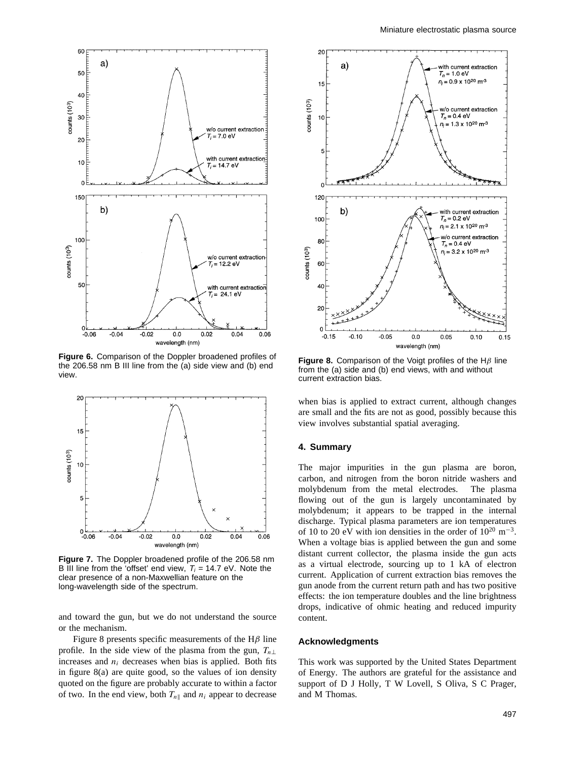

**Figure 6.** Comparison of the Doppler broadened profiles of the 206.58 nm B III line from the (a) side view and (b) end view.



**Figure 7.** The Doppler broadened profile of the 206.58 nm B III line from the 'offset' end view,  $T_i = 14.7$  eV. Note the clear presence of a non-Maxwellian feature on the long-wavelength side of the spectrum.

and toward the gun, but we do not understand the source or the mechanism.

Figure 8 presents specific measurements of the H*β* line profile. In the side view of the plasma from the gun,  $T_{n\perp}$ increases and  $n_i$  decreases when bias is applied. Both fits in figure 8(a) are quite good, so the values of ion density quoted on the figure are probably accurate to within a factor of two. In the end view, both  $T_{n\parallel}$  and  $n_i$  appear to decrease



**Figure 8.** Comparison of the Voigt profiles of the H*β* line from the (a) side and (b) end views, with and without current extraction bias.

when bias is applied to extract current, although changes are small and the fits are not as good, possibly because this view involves substantial spatial averaging.

## **4. Summary**

The major impurities in the gun plasma are boron, carbon, and nitrogen from the boron nitride washers and molybdenum from the metal electrodes. The plasma flowing out of the gun is largely uncontaminated by molybdenum; it appears to be trapped in the internal discharge. Typical plasma parameters are ion temperatures of 10 to 20 eV with ion densities in the order of  $10^{20}$  m<sup>-3</sup>. When a voltage bias is applied between the gun and some distant current collector, the plasma inside the gun acts as a virtual electrode, sourcing up to 1 kA of electron current. Application of current extraction bias removes the gun anode from the current return path and has two positive effects: the ion temperature doubles and the line brightness drops, indicative of ohmic heating and reduced impurity content.

#### **Acknowledgments**

This work was supported by the United States Department of Energy. The authors are grateful for the assistance and support of D J Holly, T W Lovell, S Oliva, S C Prager, and M Thomas.